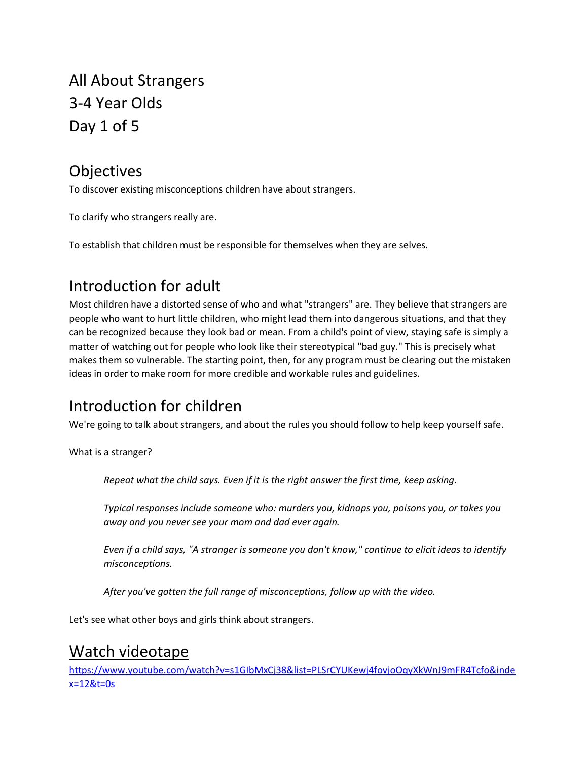All About Strangers 3-4 Year Olds Day 1 of 5

#### Objectives

To discover existing misconceptions children have about strangers.

To clarify who strangers really are.

To establish that children must be responsible for themselves when they are selves.

# Introduction for adult

Most children have a distorted sense of who and what "strangers" are. They believe that strangers are people who want to hurt little children, who might lead them into dangerous situations, and that they can be recognized because they look bad or mean. From a child's point of view, staying safe is simply a matter of watching out for people who look like their stereotypical "bad guy." This is precisely what makes them so vulnerable. The starting point, then, for any program must be clearing out the mistaken ideas in order to make room for more credible and workable rules and guidelines.

### Introduction for children

We're going to talk about strangers, and about the rules you should follow to help keep yourself safe.

What is a stranger?

*Repeat what the child says. Even if it is the right answer the first time, keep asking.*

*Typical responses include someone who: murders you, kidnaps you, poisons you, or takes you away and you never see your mom and dad ever again.*

*Even if a child says, "A stranger is someone you don't know," continue to elicit ideas to identify misconceptions.*

*After you've gotten the full range of misconceptions, follow up with the video.*

Let's see what other boys and girls think about strangers.

### Watch videotape

[https://www.youtube.com/watch?v=s1GIbMxCj38&list=PLSrCYUKewj4fovjoOqyXkWnJ9mFR4Tcfo&inde](https://www.youtube.com/watch?v=s1GIbMxCj38&list=PLSrCYUKewj4fovjoOqyXkWnJ9mFR4Tcfo&index=12&t=0s) [x=12&t=0s](https://www.youtube.com/watch?v=s1GIbMxCj38&list=PLSrCYUKewj4fovjoOqyXkWnJ9mFR4Tcfo&index=12&t=0s)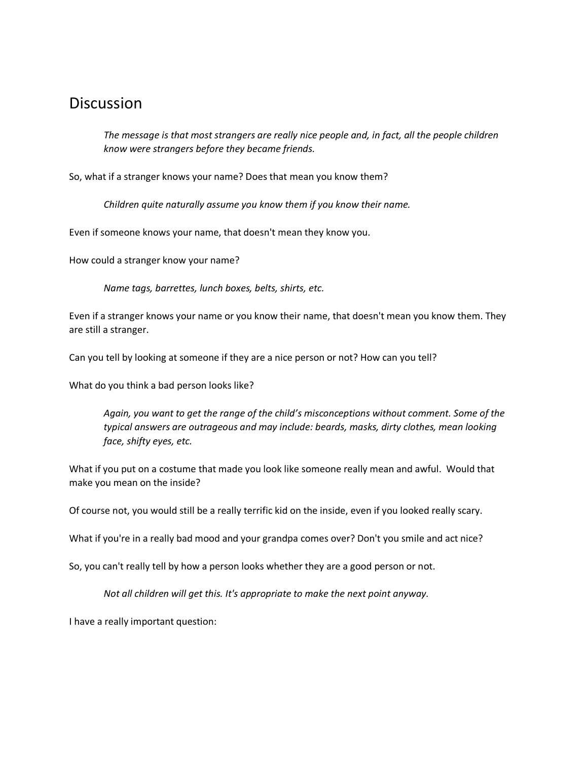#### **Discussion**

*The message is that most strangers are really nice people and, in fact, all the people children know were strangers before they became friends.*

So, what if a stranger knows your name? Does that mean you know them?

*Children quite naturally assume you know them if you know their name.*

Even if someone knows your name, that doesn't mean they know you.

How could a stranger know your name?

*Name tags, barrettes, lunch boxes, belts, shirts, etc.*

Even if a stranger knows your name or you know their name, that doesn't mean you know them. They are still a stranger.

Can you tell by looking at someone if they are a nice person or not? How can you tell?

What do you think a bad person looks like?

*Again, you want to get the range of the child's misconceptions without comment. Some of the typical answers are outrageous and may include: beards, masks, dirty clothes, mean looking face, shifty eyes, etc.*

What if you put on a costume that made you look like someone really mean and awful. Would that make you mean on the inside?

Of course not, you would still be a really terrific kid on the inside, even if you looked really scary.

What if you're in a really bad mood and your grandpa comes over? Don't you smile and act nice?

So, you can't really tell by how a person looks whether they are a good person or not.

*Not all children will get this. It's appropriate to make the next point anyway.*

I have a really important question: